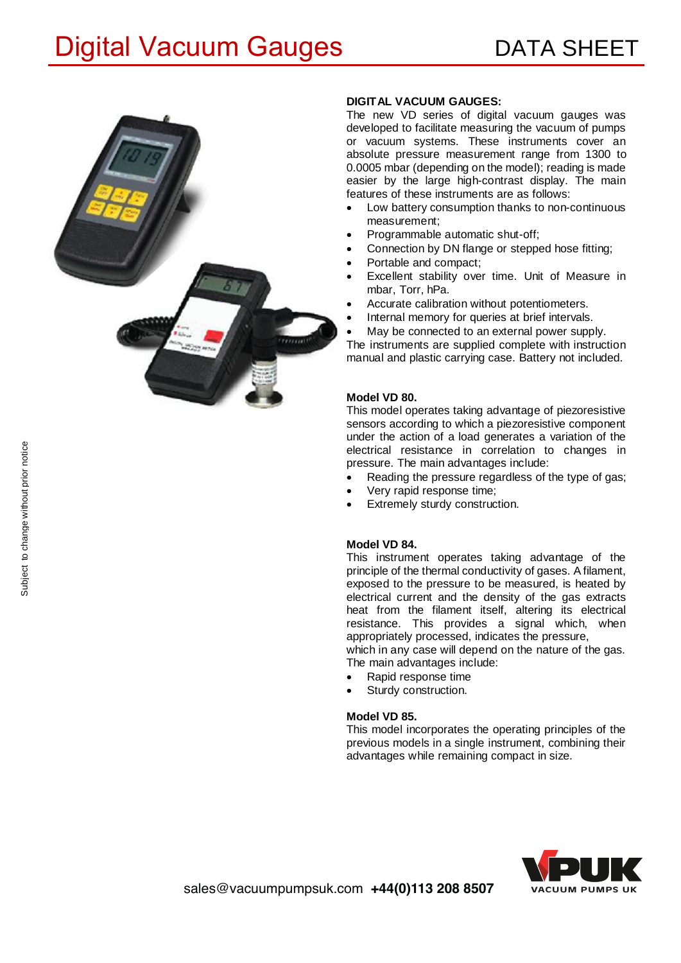## Digital Vacuum Gauges **DATA SHEET**



### **DIGITAL VACUUM GAUGES:**

The new VD series of digital vacuum gauges was developed to facilitate measuring the vacuum of pumps or vacuum systems. These instruments cover an absolute pressure measurement range from 1300 to 0.0005 mbar (depending on the model); reading is made easier by the large high-contrast display. The main features of these instruments are as follows:

- Low battery consumption thanks to non-continuous measurement;
- · Programmable automatic shut-off;
- Connection by DN flange or stepped hose fitting;
- Portable and compact;
- Excellent stability over time. Unit of Measure in mbar, Torr, hPa.
- Accurate calibration without potentiometers.
- Internal memory for queries at brief intervals.
- May be connected to an external power supply.

The instruments are supplied complete with instruction manual and plastic carrying case. Battery not included.

#### **Model VD 80.**

This model operates taking advantage of piezoresistive sensors according to which a piezoresistive component under the action of a load generates a variation of the electrical resistance in correlation to changes in pressure. The main advantages include:

- Reading the pressure regardless of the type of gas;
- · Very rapid response time;
- Extremely sturdy construction.

#### **Model VD 84.**

This instrument operates taking advantage of the principle of the thermal conductivity of gases. A filament, exposed to the pressure to be measured, is heated by electrical current and the density of the gas extracts heat from the filament itself, altering its electrical resistance. This provides a signal which, when appropriately processed, indicates the pressure,

which in any case will depend on the nature of the gas. The main advantages include:

- Rapid response time
- Sturdy construction.

#### **Model VD 85.**

This model incorporates the operating principles of the previous models in a single instrument, combining their advantages while remaining compact in size.